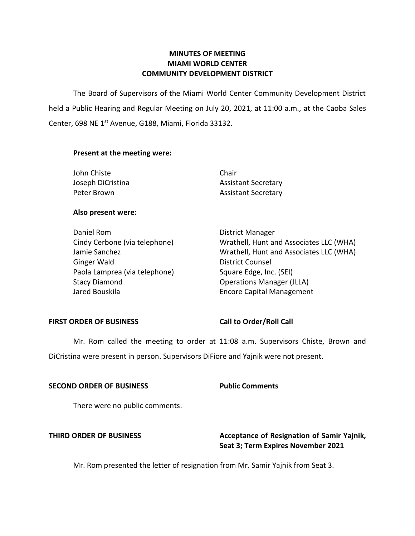# **MINUTES OF MEETING MIAMI WORLD CENTER COMMUNITY DEVELOPMENT DISTRICT**

 The Board of Supervisors of the Miami World Center Community Development District held a Public Hearing and Regular Meeting on July 20, 2021, at 11:00 a.m., at the Caoba Sales Center, 698 NE 1<sup>st</sup> Avenue, G188, Miami, Florida 33132.

# **Present at the meeting were:**

| John Chiste       | Chair                      |
|-------------------|----------------------------|
| Joseph DiCristina | <b>Assistant Secretary</b> |
| Peter Brown       | <b>Assistant Secretary</b> |

### **Also present were:**

| Daniel Rom                    | <b>District Manager</b>                 |
|-------------------------------|-----------------------------------------|
| Cindy Cerbone (via telephone) | Wrathell, Hunt and Associates LLC (WHA) |
| Jamie Sanchez                 | Wrathell, Hunt and Associates LLC (WHA) |
| <b>Ginger Wald</b>            | <b>District Counsel</b>                 |
| Paola Lamprea (via telephone) | Square Edge, Inc. (SEI)                 |
| <b>Stacy Diamond</b>          | <b>Operations Manager (JLLA)</b>        |
| Jared Bouskila                | <b>Encore Capital Management</b>        |

### **FIRST ORDER OF BUSINESS**

**Call to Order/Roll Call** 

 Mr. Rom called the meeting to order at 11:08 a.m. Supervisors Chiste, Brown and DiCristina were present in person. Supervisors DiFiore and Yajnik were not present.

### **SECOND ORDER OF BUSINESS Public Comments**

There were no public comments.

# **THIRD ORDER OF BUSINESS** Acceptance of Resignation of Samir Yajnik, **Seat 3; Term Expires November 2021**

Mr. Rom presented the letter of resignation from Mr. Samir Yajnik from Seat 3.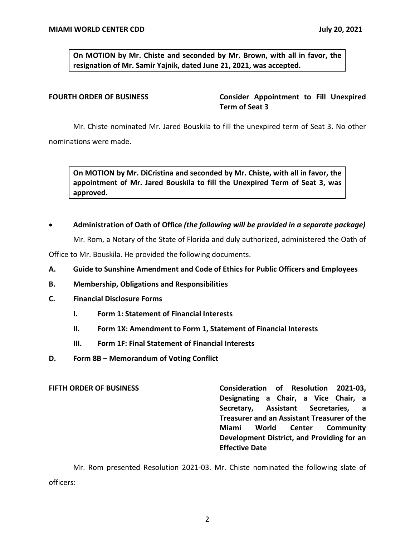**On MOTION by Mr. Chiste and seconded by Mr. Brown, with all in favor, the resignation of Mr. Samir Yajnik, dated June 21, 2021, was accepted.** 

**FOURTH ORDER OF BUSINESS Consider Appointment to Fill Unexpired Term of Seat 3** 

Mr. Chiste nominated Mr. Jared Bouskila to fill the unexpired term of Seat 3. No other nominations were made.

 **On MOTION by Mr. DiCristina and seconded by Mr. Chiste, with all in favor, the appointment of Mr. Jared Bouskila to fill the Unexpired Term of Seat 3, was approved.** 

### • **Administration of Oath of Office** *(the following will be provided in a separate package)*

Mr. Rom, a Notary of the State of Florida and duly authorized, administered the Oath of

Office to Mr. Bouskila. He provided the following documents.

- **A. Guide to Sunshine Amendment and Code of Ethics for Public Officers and Employees**
- **B. Membership, Obligations and Responsibilities**
- **C. Financial Disclosure Forms** 
	- **I. Form 1: Statement of Financial Interests**
	- **II. Form 1X: Amendment to Form 1, Statement of Financial Interests**
	- **III. Form 1F: Final Statement of Financial Interests**
- **D. Form 8B – Memorandum of Voting Conflict**

**FIFTH ORDER OF BUSINESS Consideration of Resolution 2021-03, Designating a Chair, a Vice Chair, a Secretary, Assistant Secretaries, a Treasurer and an Assistant Treasurer of the Miami World Center Community Development District, and Providing for an Effective Date** 

 Mr. Rom presented Resolution 2021-03. Mr. Chiste nominated the following slate of officers: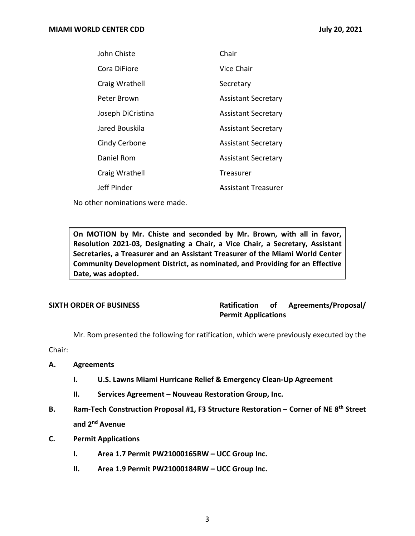| John Chiste       | Chair                      |
|-------------------|----------------------------|
| Cora DiFiore      | Vice Chair                 |
| Craig Wrathell    | Secretary                  |
| Peter Brown       | <b>Assistant Secretary</b> |
| Joseph DiCristina | <b>Assistant Secretary</b> |
| Jared Bouskila    | <b>Assistant Secretary</b> |
| Cindy Cerbone     | <b>Assistant Secretary</b> |
| Daniel Rom        | <b>Assistant Secretary</b> |
| Craig Wrathell    | <b>Treasurer</b>           |
| Jeff Pinder       | Assistant Treasurer        |

No other nominations were made.

 **On MOTION by Mr. Chiste and seconded by Mr. Brown, with all in favor, Resolution 2021-03, Designating a Chair, a Vice Chair, a Secretary, Assistant Secretaries, a Treasurer and an Assistant Treasurer of the Miami World Center Community Development District, as nominated, and Providing for an Effective Date, was adopted.** 

**SIXTH ORDER OF BUSINESS Ratification of Agreements/Proposal/ Permit Applications** 

Mr. Rom presented the following for ratification, which were previously executed by the

Chair:

- **A. Agreements** 
	- **I. U.S. Lawns Miami Hurricane Relief & Emergency Clean-Up Agreement**
	- **II. Services Agreement – Nouveau Restoration Group, Inc.**
- **B. Ram-Tech Construction Proposal #1, F3 Structure Restoration – Corner of NE 8th Street and 2nd Avenue**
- **C. Permit Applications** 
	- **I. Area 1.7 Permit PW21000165RW – UCC Group Inc.**
	- **II. Area 1.9 Permit PW21000184RW – UCC Group Inc.**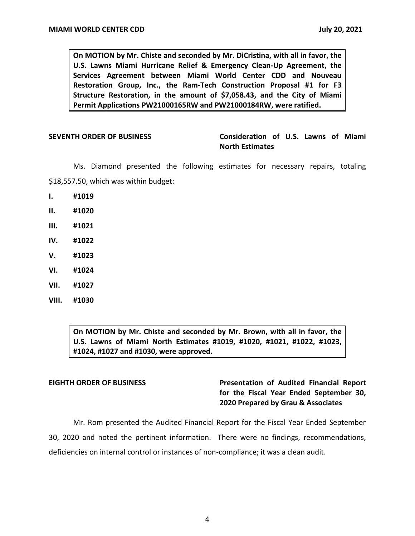**On MOTION by Mr. Chiste and seconded by Mr. DiCristina, with all in favor, the U.S. Lawns Miami Hurricane Relief & Emergency Clean-Up Agreement, the Services Agreement between Miami World Center CDD and Nouveau Restoration Group, Inc., the Ram-Tech Construction Proposal #1 for F3 Structure Restoration, in the amount of \$[7,058.43](https://7,058.43), and the City of Miami Permit Applications PW21000165RW and PW21000184RW, were ratified.** 

 **SEVENTH ORDER OF BUSINESS Consideration of U.S. Lawns of Miami North Estimates** 

 [\\$18,557.50,](https://18,557.50) which was within budget: Ms. Diamond presented the following estimates for necessary repairs, totaling

- **I. #1019**
- **II. #1020**
- **III. #1021**
- **IV. #1022**
- **V. #1023**
- **VI. #1024**
- **VII. #1027**
- **VIII. #1030**

 **On MOTION by Mr. Chiste and seconded by Mr. Brown, with all in favor, the U.S. Lawns of Miami North Estimates #1019, #1020, #1021, #1022, #1023, #1024, #1027 and #1030, were approved.** 

# **EIGHTH ORDER OF BUSINESS Presentation of Audited Financial Report for the Fiscal Year Ended September 30, 2020 Prepared by Grau & Associates**

 Mr. Rom presented the Audited Financial Report for the Fiscal Year Ended September 30, 2020 and noted the pertinent information. There were no findings, recommendations, deficiencies on internal control or instances of non-compliance; it was a clean audit.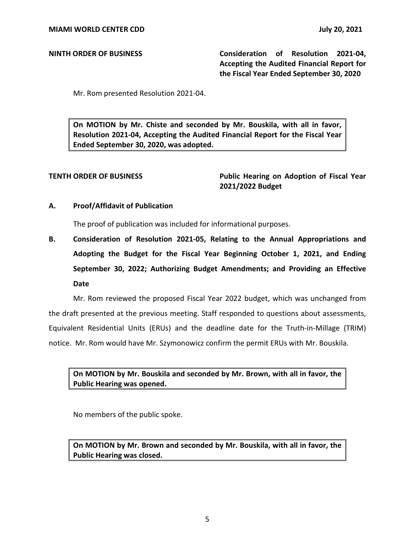**NINTH ORDER OF BUSINESS Consideration of Resolution 2021-04, Accepting the Audited Financial Report for the Fiscal Year Ended September 30, 2020** 

Mr. Rom presented Resolution 2021-04.

 **On MOTION by Mr. Chiste and seconded by Mr. Bouskila, with all in favor, Resolution 2021-04, Accepting the Audited Financial Report for the Fiscal Year Ended September 30, 2020, was adopted.** 

**TENTH ORDER OF BUSINESS Public Hearing on Adoption of Fiscal Year 2021/2022 Budget** 

### **A. Proof/Affidavit of Publication**

The proof of publication was included for informational purposes.

**B. Consideration of Resolution 2021-05, Relating to the Annual Appropriations and Adopting the Budget for the Fiscal Year Beginning October 1, 2021, and Ending September 30, 2022; Authorizing Budget Amendments; and Providing an Effective Date** 

Mr. Rom reviewed the proposed Fiscal Year 2022 budget, which was unchanged from the draft presented at the previous meeting. Staff responded to questions about assessments, Equivalent Residential Units (ERUs) and the deadline date for the Truth-in-Millage (TRIM) notice. Mr. Rom would have Mr. Szymonowicz confirm the permit ERUs with Mr. Bouskila.

 **On MOTION by Mr. Bouskila and seconded by Mr. Brown, with all in favor, the Public Hearing was opened.** 

No members of the public spoke.

 **On MOTION by Mr. Brown and seconded by Mr. Bouskila, with all in favor, the Public Hearing was closed.**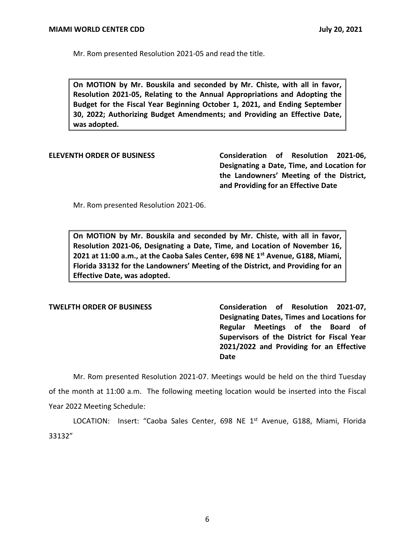Mr. Rom presented Resolution 2021-05 and read the title.

 **On MOTION by Mr. Bouskila and seconded by Mr. Chiste, with all in favor, Resolution 2021-05, Relating to the Annual Appropriations and Adopting the Budget for the Fiscal Year Beginning October 1, 2021, and Ending September 30, 2022; Authorizing Budget Amendments; and Providing an Effective Date, was adopted.** 

**ELEVENTH ORDER OF BUSINESS Consideration of Resolution 2021-06, Designating a Date, Time, and Location for the Landowners' Meeting of the District, and Providing for an Effective Date** 

Mr. Rom presented Resolution 2021-06.

 **On MOTION by Mr. Bouskila and seconded by Mr. Chiste, with all in favor, Resolution 2021-06, Designating a Date, Time, and Location of November 16, 2021 at 11:00 a.m., at the Caoba Sales Center, 698 NE 1st Avenue, G188, Miami, Florida 33132 for the Landowners' Meeting of the District, and Providing for an Effective Date, was adopted.** 

**TWELFTH ORDER OF BUSINESS Consideration of Resolution 2021-07, Designating Dates, Times and Locations for Regular Meetings of the Board of Supervisors of the District for Fiscal Year 2021/2022 and Providing for an Effective Date** 

Mr. Rom presented Resolution 2021-07. Meetings would be held on the third Tuesday of the month at 11:00 a.m. The following meeting location would be inserted into the Fiscal Year 2022 Meeting Schedule:

LOCATION: Insert: "Caoba Sales Center, 698 NE 1<sup>st</sup> Avenue, G188, Miami, Florida 33132"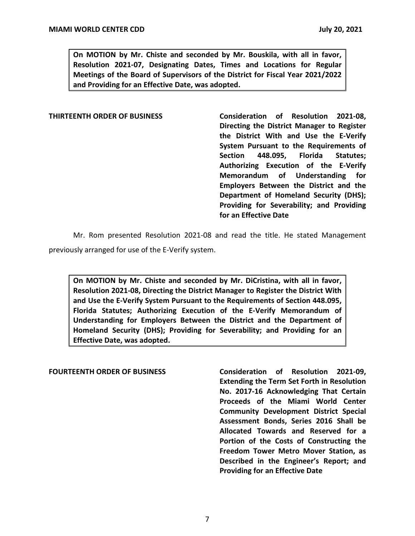**On MOTION by Mr. Chiste and seconded by Mr. Bouskila, with all in favor, Resolution 2021-07, Designating Dates, Times and Locations for Regular Meetings of the Board of Supervisors of the District for Fiscal Year 2021/2022 and Providing for an Effective Date, was adopted.** 

**THIRTEENTH ORDER OF BUSINESS Consideration of Resolution 2021-08, Directing the District Manager to Register the District With and Use the E-Verify System Pursuant to the Requirements of Section 448.095, Florida Statutes; Authorizing Execution of the E-Verify Memorandum of Understanding for Employers Between the District and the Department of Homeland Security (DHS); Providing for Severability; and Providing for an Effective Date** 

 Mr. Rom presented Resolution 2021-08 and read the title. He stated Management previously arranged for use of the E-Verify system.

 **On MOTION by Mr. Chiste and seconded by Mr. DiCristina, with all in favor, Resolution 2021-08, Directing the District Manager to Register the District With and Use the E-Verify System Pursuant to the Requirements of Section 448.095, Florida Statutes; Authorizing Execution of the E-Verify Memorandum of Understanding for Employers Between the District and the Department of Homeland Security (DHS); Providing for Severability; and Providing for an Effective Date, was adopted.** 

### **FOURTEENTH ORDER OF BUSINESS Consideration of Resolution 2021-09,**

**Extending the Term Set Forth in Resolution No. 2017-16 Acknowledging That Certain Proceeds of the Miami World Center Community Development District Special Assessment Bonds, Series 2016 Shall be Allocated Towards and Reserved for a Portion of the Costs of Constructing the Freedom Tower Metro Mover Station, as Described in the Engineer's Report; and Providing for an Effective Date** 

7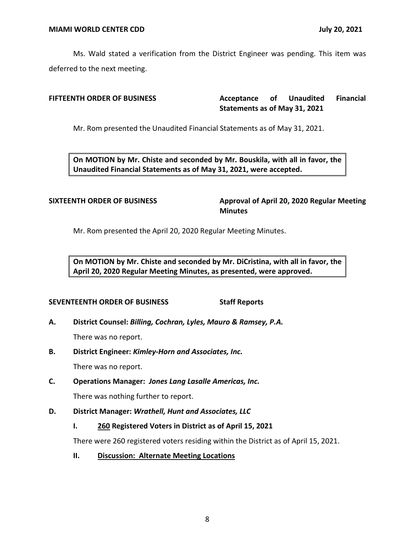Ms. Wald stated a verification from the District Engineer was pending. This item was deferred to the next meeting.

**FIFTEENTH ORDER OF BUSINESS Acceptance** of Unaudited Financial  **Statements as of May 31, 2021** 

Mr. Rom presented the Unaudited Financial Statements as of May 31, 2021.

 **On MOTION by Mr. Chiste and seconded by Mr. Bouskila, with all in favor, the Unaudited Financial Statements as of May 31, 2021, were accepted.** 

SIXTEENTH ORDER OF BUSINESS **Approval of April 20, 2020 Regular Meeting Minutes** 

Mr. Rom presented the April 20, 2020 Regular Meeting Minutes.

 **On MOTION by Mr. Chiste and seconded by Mr. DiCristina, with all in favor, the April 20, 2020 Regular Meeting Minutes, as presented, were approved.** 

# **SEVENTEENTH ORDER OF BUSINESS Staff Reports**

 **A. District Counsel:** *Billing, Cochran, Lyles, Mauro & Ramsey, P.A.* 

There was no report.

 **B. District Engineer:** *Kimley-Horn and Associates, Inc.* 

There was no report.

 **C. Operations Manager:** *Jones Lang Lasalle Americas, Inc.* 

There was nothing further to report.

 **D. District Manager:** *Wrathell, Hunt and Associates, LLC* 

# **I. 260 Registered Voters in District as of April 15, 2021**

There were 260 registered voters residing within the District as of April 15, 2021.

**II. Discussion: Alternate Meeting Locations**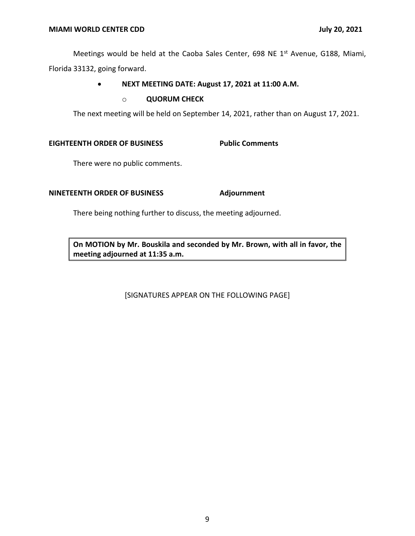Meetings would be held at the Caoba Sales Center, 698 NE 1<sup>st</sup> Avenue, G188, Miami, Florida 33132, going forward.

# • **NEXT MEETING DATE: August 17, 2021 at 11:00 A.M.**

### o **QUORUM CHECK**

The next meeting will be held on September 14, 2021, rather than on August 17, 2021.

### **EIGHTEENTH ORDER OF BUSINESS Public Comments**

There were no public comments.

# **NINETEENTH ORDER OF BUSINESS Adjournment**

There being nothing further to discuss, the meeting adjourned.

 **On MOTION by Mr. Bouskila and seconded by Mr. Brown, with all in favor, the meeting adjourned at 11:35 a.m.** 

[SIGNATURES APPEAR ON THE FOLLOWING PAGE]